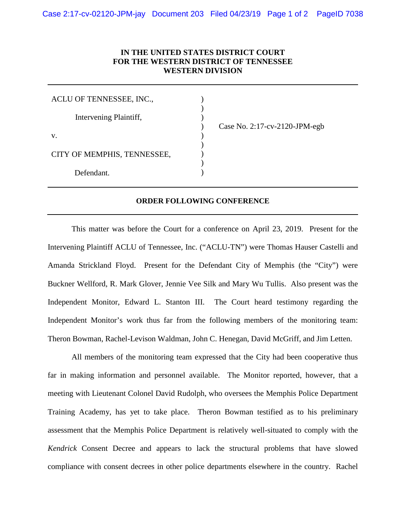## **IN THE UNITED STATES DISTRICT COURT FOR THE WESTERN DISTRICT OF TENNESSEE WESTERN DIVISION**

) ) )

) ) ) )

| ACLU OF TENNESSEE, INC.,    |  |
|-----------------------------|--|
| Intervening Plaintiff,      |  |
| V.                          |  |
| CITY OF MEMPHIS, TENNESSEE, |  |
| Defendant.                  |  |

) Case No. 2:17-cv-2120-JPM-egb

## **ORDER FOLLOWING CONFERENCE**

This matter was before the Court for a conference on April 23, 2019. Present for the Intervening Plaintiff ACLU of Tennessee, Inc. ("ACLU-TN") were Thomas Hauser Castelli and Amanda Strickland Floyd. Present for the Defendant City of Memphis (the "City") were Buckner Wellford, R. Mark Glover, Jennie Vee Silk and Mary Wu Tullis. Also present was the Independent Monitor, Edward L. Stanton III. The Court heard testimony regarding the Independent Monitor's work thus far from the following members of the monitoring team: Theron Bowman, Rachel-Levison Waldman, John C. Henegan, David McGriff, and Jim Letten.

All members of the monitoring team expressed that the City had been cooperative thus far in making information and personnel available. The Monitor reported, however, that a meeting with Lieutenant Colonel David Rudolph, who oversees the Memphis Police Department Training Academy, has yet to take place. Theron Bowman testified as to his preliminary assessment that the Memphis Police Department is relatively well-situated to comply with the *Kendrick* Consent Decree and appears to lack the structural problems that have slowed compliance with consent decrees in other police departments elsewhere in the country. Rachel